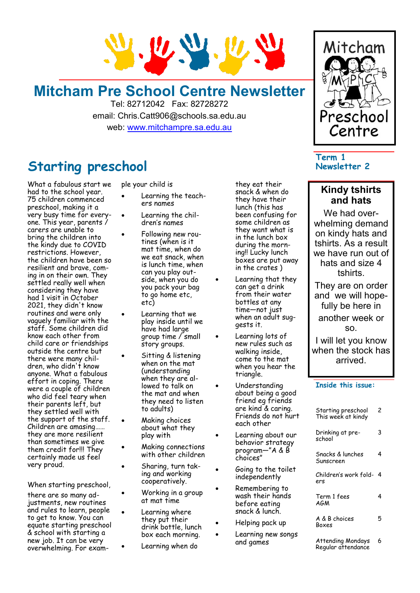

## **Mitcham Pre School Centre Newsletter**

Tel: 82712042 Fax: 82728272 email: Chris.Catt906@schools.sa.edu.au web: [www.mitchampre.sa.edu.au](http://www.mitchampre.sa.edu.au/) 

### **Starting preschool**

What a fabulous start we had to the school year. 75 children commenced preschool, making it a very busy time for everyone. This year, parents / carers are unable to bring the children into the kindy due to COVID restrictions. However, the children have been so resilient and brave, coming in on their own. They settled really well when considering they have had 1 visit in October 2021, they didn't know routines and were only vaguely familiar with the staff. Some children did know each other from child care or friendships outside the centre but there were many children, who didn't know anyone. What a fabulous effort in coping. There were a couple of children who did feel teary when their parents left, but they settled well with the support of the staff. Children are amasing…… they are more resilient than sometimes we give them credit for!!! They certainly made us feel very proud.

When starting preschool,

there are so many adjustments, new routines and rules to learn, people to get to know. You can equate starting preschool & school with starting a new job. It can be very overwhelming. For example your child is

- Learning the teachers names
- Learning the children's names
- Following new routines (when is it mat time, when do we eat snack, when is lunch time, when can you play outside, when you do you pack your bag to go home etc, etc)
- Learning that we play inside until we have had large group time / small story groups.
- Sitting & listening when on the mat (understanding when they are allowed to talk on the mat and when they need to listen to adults)
- Making choices about what they play with
- Making connections with other children
- Sharing, turn taking and working cooperatively.
	- Working in a group at mat time
	- Learning where they put their drink bottle, lunch box each morning.
	- Learning when do

they eat their snack & when do they have their lunch (this has been confusing for some children as they want what is in the lunch box during the morning!! Lucky lunch boxes are put away in the crates )

- Learning that they can get a drink from their water bottles at any time—not just when an adult suggests it.
- Learning lots of new rules such as walking inside, come to the mat when you hear the triangle.
- Understanding about being a good friend eg friends are kind & caring. Friends do not hurt each other
- Learning about our behavior strategy program—"A & B choices"
- Going to the toilet independently
- Remembering to wash their hands before eating snack & lunch.
- Helping pack up
- Learning new songs and games



### **Term 1 Newsletter 2**

### **Kindy tshirts and hats**

We had overwhelming demand on kindy hats and tshirts. As a result we have run out of hats and size 4 tshirts.

They are on order and we will hopefully be here in another week or so.

I will let you know when the stock has arrived.

### **Inside this issue:**

| Starting preschool<br>This week at kindy | 2 |
|------------------------------------------|---|
| Drinking at pre-<br>school               | 3 |
| Snacks & lunches<br>Sunscreen            | 4 |
| Children's work fold-<br>ers             | 4 |
| Term 1 fees<br>AGM                       | 4 |
| A & B choices<br>Boxes                   | 5 |
| <b>Attending Mondays</b>                 | 6 |

Regular attendance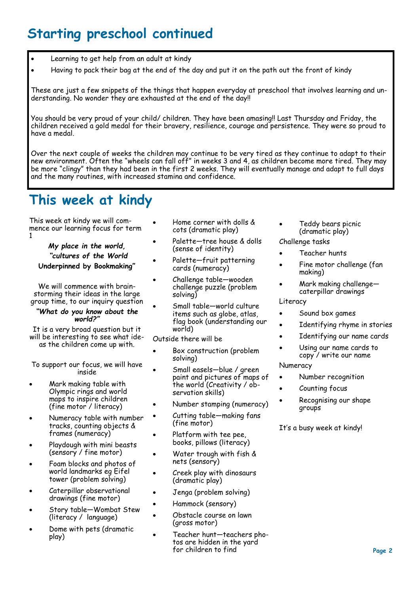# **Starting preschool continued**

- Learning to get help from an adult at kindy
- Having to pack their bag at the end of the day and put it on the path out the front of kindy

These are just a few snippets of the things that happen everyday at preschool that involves learning and understanding. No wonder they are exhausted at the end of the day!!

You should be very proud of your child/ children. They have been amasing!! Last Thursday and Friday, the children received a gold medal for their bravery, resilience, courage and persistence. They were so proud to have a medal.

Over the next couple of weeks the children may continue to be very tired as they continue to adapt to their new environment. Often the "wheels can fall off" in weeks 3 and 4, as children become more tired. They may be more "clingy" than they had been in the first 2 weeks. They will eventually manage and adapt to full days and the many routines, with increased stamina and confidence.

## **This week at kindy**

This week at kindy we will commence our learning focus for term 1

*My place in the world, "cultures of the World* **Underpinned by Bookmaking"**

We will commence with brainstorming their ideas in the large group time, to our inquiry question

### *"What do you know about the world?"*

It is a very broad question but it will be interesting to see what ideas the children come up with.

To support our focus, we will have inside

- Mark making table with Olympic rings and world maps to inspire children (fine motor / literacy)
- Numeracy table with number tracks, counting objects & frames (numeracy)
- Playdough with mini beasts (sensory / fine motor)
- Foam blocks and photos of world landmarks eg Eifel tower (problem solving)
- Caterpillar observational drawings (fine motor)
- Story table—Wombat Stew (literacy / language)
- Dome with pets (dramatic play)
- Home corner with dolls & cots (dramatic play)
- Palette—tree house & dolls (sense of identity)
- Palette—fruit patterning cards (numeracy)
- Challenge table—wooden challenge puzzle (problem solving)
- Small table—world culture items such as globe, atlas, flag book (understanding our world)

Outside there will be

- Box construction (problem solving)
- Small easels—blue / green paint and pictures of maps of the world (Creativity / observation skills)
- Number stamping (numeracy)
- Cutting table—making fans (fine motor)
- Platform with tee pee, books, pillows (literacy)
- Water trough with fish & nets (sensory)
- Creek play with dinosaurs (dramatic play)
- Jenga (problem solving)
- Hammock (sensory)
- Obstacle course on lawn (gross motor)
- Teacher hunt—teachers photos are hidden in the yard for children to find
- Teddy bears picnic (dramatic play)
- Challenge tasks
- Teacher hunts
- Fine motor challenge (fan making)
- Mark making challenge caterpillar drawings

### Literacy

- Sound box games
- Identifying rhyme in stories
- Identifying our name cards
- Using our name cards to copy / write our name

### Numeracy

- Number recognition
- Counting focus
- Recognising our shape groups

It's a busy week at kindy!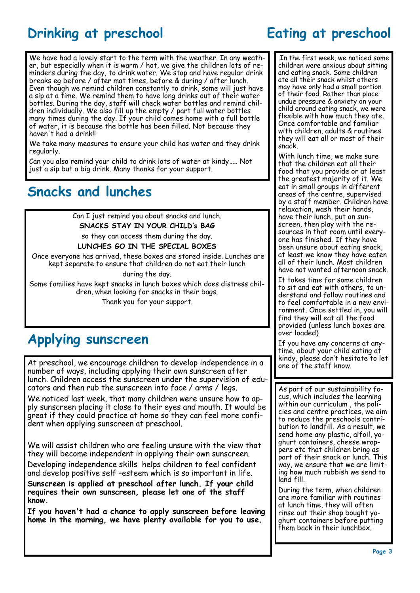# **Drinking at preschool Eating at preschool**

We have had a lovely start to the term with the weather. In any weather, but especially when it is warm / hot, we give the children lots of reminders during the day, to drink water. We stop and have regular drink breaks eg before / after mat times, before & during / after lunch. Even though we remind children constantly to drink, some will just have a sip at a time. We remind them to have long drinks out of their water bottles. During the day, staff will check water bottles and remind children individually. We also fill up the empty / part full water bottles many times during the day. If your child comes home with a full bottle of water, it is because the bottle has been filled. Not because they haven't had a drink!!

We take many measures to ensure your child has water and they drink regularly.

Can you also remind your child to drink lots of water at kindy….. Not just a sip but a big drink. Many thanks for your support.

### **Snacks and lunches**

Can I just remind you about snacks and lunch.

**SNACKS STAY IN YOUR CHILD's BAG**  so they can access them during the day.

**LUNCHES GO IN THE SPECIAL BOXES** 

Once everyone has arrived, these boxes are stored inside. Lunches are kept separate to ensure that children do not eat their lunch

during the day.

Some families have kept snacks in lunch boxes which does distress children, when looking for snacks in their bags.

Thank you for your support.

## **Applying sunscreen**

At preschool, we encourage children to develop independence in a number of ways, including applying their own sunscreen after lunch. Children access the sunscreen under the supervision of educators and then rub the sunscreen into face / arms / legs.

We noticed last week, that many children were unsure how to apply sunscreen placing it close to their eyes and mouth. It would be great if they could practice at home so they can feel more confident when applying sunscreen at preschool.

We will assist children who are feeling unsure with the view that they will become independent in applying their own sunscreen.

Developing independence skills helps children to feel confident and develop positive self –esteem which is so important in life.

**Sunscreen is applied at preschool after lunch. If your child requires their own sunscreen, please let one of the staff know.**

**If you haven't had a chance to apply sunscreen before leaving home in the morning, we have plenty available for you to use.**

.In the first week, we noticed some children were anxious about sitting and eating snack. Some children ate all their snack whilst others may have only had a small portion of their food. Rather than place undue pressure & anxiety on your child around eating snack, we were flexible with how much they ate. Once comfortable and familiar with children, adults & routines they will eat all or most of their snack.

With lunch time, we make sure that the children eat all their food that you provide or at least the greatest majority of it. We eat in small groups in different areas of the centre, supervised by a staff member. Children have relaxation, wash their hands, have their lunch, put on sunscreen, then play with the resources in that room until everyone has finished. If they have been unsure about eating snack, at least we know they have eaten all of their lunch. Most children have not wanted afternoon snack.

It takes time for some children to sit and eat with others, to understand and follow routines and to feel comfortable in a new environment. Once settled in, you will find they will eat all the food provided (unless lunch boxes are over loaded)

If you have any concerns at anytime, about your child eating at kindy, please don't hesitate to let one of the staff know.

As part of our sustainability focus, which includes the learning within our curriculum , the policies and centre practices, we aim to reduce the preschools contribution to landfill. As a result, we send home any plastic, alfoil, yoghurt containers, cheese wrappers etc that children bring as part of their snack or lunch. This way, we ensure that we are limiting how much rubbish we send to land fill.

During the term, when children are more familiar with routines at lunch time, they will often rinse out their shop bought yoghurt containers before putting them back in their lunchbox.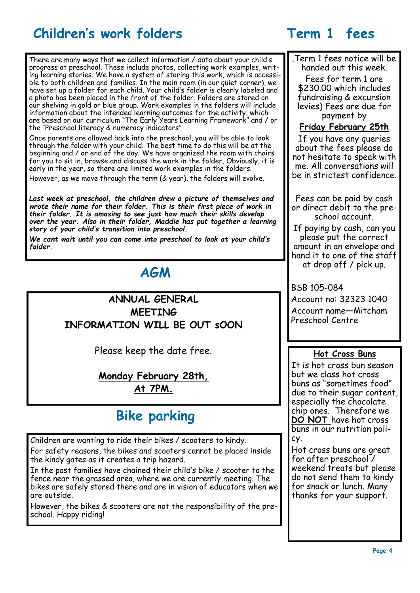## **Children's work folders Term 1 fees**

There are many ways that we collect information / data about your child's progress at preschool. These include photos, collecting work examples, writing learning stories. We have a system of storing this work, which is accessible to both children and families. In the main room (in our quiet corner), we have set up a folder for each child. Your child's folder is clearly labeled and a photo has been placed in the front of the folder. Folders are stored on our shelving in gold or blue group. Work examples in the folders will include information about the intended learning outcomes for the activity, which are based on our curriculum "The Early Years Learning Framework" and / or the "Preschool literacy & numeracy indicators"

Once parents are allowed back into the preschool, you will be able to look through the folder with your child. The best time to do this will be at the beginning and / or end of the day. We have organized the room with chairs for you to sit in, browse and discuss the work in the folder. Obviously, it is early in the year, so there are limited work examples in the folders.

However, as we move through the term (& year), the folders will evolve.

*Last week at preschool, the children drew a picture of themselves and wrote their name for their folder. This is their first piece of work in their folder. It is amasing to see just how much their skills develop over the year. Also in their folder, Maddie has put together a learning story of your child's transition into preschool.*

*We cant wait until you can come into preschool to look at your child's folder.*

### **AGM**

**ANNUAL GENERAL MEETING INFORMATION WILL BE OUT sOON**

Please keep the date free.

### **Monday February 28th, At 7PM.**

# **Bike parking**

Children are wanting to ride their bikes / scooters to kindy. For safety reasons, the bikes and scooters cannot be placed inside the kindy gates as it creates a trip hazard.

In the past families have chained their child's bike / scooter to the fence near the grassed area, where we are currently meeting. The bikes are safely stored there and are in vision of educators when we are outside.

However, the bikes & scooters are not the responsibility of the preschool. Happy riding!

.Term 1 fees notice will be handed out this week.

Fees for term 1 are \$230.00 which includes fundraising & excursion levies) Fees are due for payment by

### **Friday February 25th**

If you have any queries about the fees please do not hesitate to speak with me. All conversations will be in strictest confidence.

Fees can be paid by cash or direct debit to the preschool account.

If paying by cash, can you please put the correct amount in an envelope and hand it to one of the staff at drop off / pick up.

BSB 105-084

Account no: 32323 1040 Account name—Mitcham Preschool Centre

### **Hot Cross Buns**

It is hot cross bun season but we class hot cross buns as "sometimes food" due to their sugar content. especially the chocolate chip ones. Therefore we **DO NOT** have hot cross buns in our nutrition policy.

Hot cross buns are great for after preschool / weekend treats but please do not send them to kindy for snack or lunch. Many thanks for your support.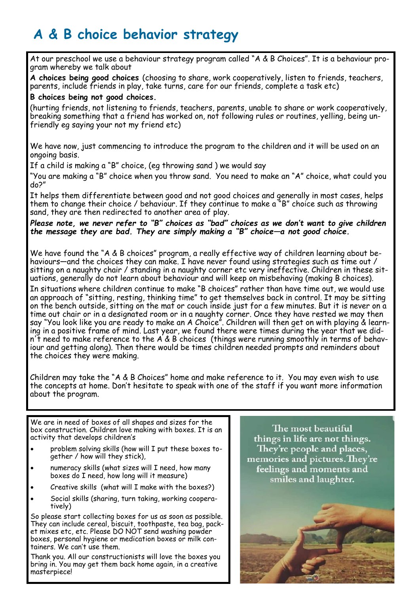# **A & B choice behavior strategy**

At our preschool we use a behaviour strategy program called "A & B Choices". It is a behaviour program whereby we talk about

**A choices being good choices** (choosing to share, work cooperatively, listen to friends, teachers, parents, include friends in play, take turns, care for our friends, complete a task etc)

### **B choices being not good choices.**

(hurting friends, not listening to friends, teachers, parents, unable to share or work cooperatively, breaking something that a friend has worked on, not following rules or routines, yelling, being unfriendly eg saying your not my friend etc)

We have now, just commencing to introduce the program to the children and it will be used on an ongoing basis.

If a child is making a "B" choice, (eg throwing sand ) we would say

"You are making a "B" choice when you throw sand. You need to make an "A" choice, what could you do?"

It helps them differentiate between good and not good choices and generally in most cases, helps them to change their choice / behaviour. If they continue to make a "B" choice such as throwing sand, they are then redirected to another area of play.

### *Please note, we never refer to "B" choices as "bad" choices as we don't want to give children the message they are bad. They are simply making a "B" choice—a not good choice.*

We have found the "A & B choices" program, a really effective way of children learning about behaviours—and the choices they can make. I have never found using strategies such as time out / sitting on a naughty chair / standing in a naughty corner etc very ineffective. Children in these situations, generally do not learn about behaviour and will keep on misbehaving (making B choices).

In situations where children continue to make "B choices" rather than have time out, we would use an approach of "sitting, resting, thinking time" to get themselves back in control. It may be sitting on the bench outside, sitting on the mat or couch inside just for a few minutes. But it is never on a time out chair or in a designated room or in a naughty corner. Once they have rested we may then say "You look like you are ready to make an A Choice". Children will then get on with playing & learning in a positive frame of mind. Last year, we found there were times during the year that we didn't need to make reference to the  $A \& B$  choices (things were running smoothly in terms of behaviour and getting along). Then there would be times children needed prompts and reminders about the choices they were making.

Children may take the "A & B Choices" home and make reference to it. You may even wish to use the concepts at home. Don't hesitate to speak with one of the staff if you want more information about the program.

We are in need of boxes of all shapes and sizes for the box construction. Children love making with boxes. It is an activity that develops children's

- problem solving skills (how will I put these boxes together / how will they stick),
- numeracy skills (what sizes will I need, how many boxes do I need, how long will it measure)
- Creative skills (what will I make with the boxes?)
- Social skills (sharing, turn taking, working cooperatively)

So please start collecting boxes for us as soon as possible. They can include cereal, biscuit, toothpaste, tea bag, packet mixes etc, etc. Please DO NOT send washing powder boxes, personal hygiene or medication boxes or milk containers. We can't use them.

Thank you. All our constructionists will love the boxes you bring in. You may get them back home again, in a creative masterpiece!

The most beautiful things in life are not things. They're people and places, memories and pictures. They're feelings and moments and smiles and laughter.